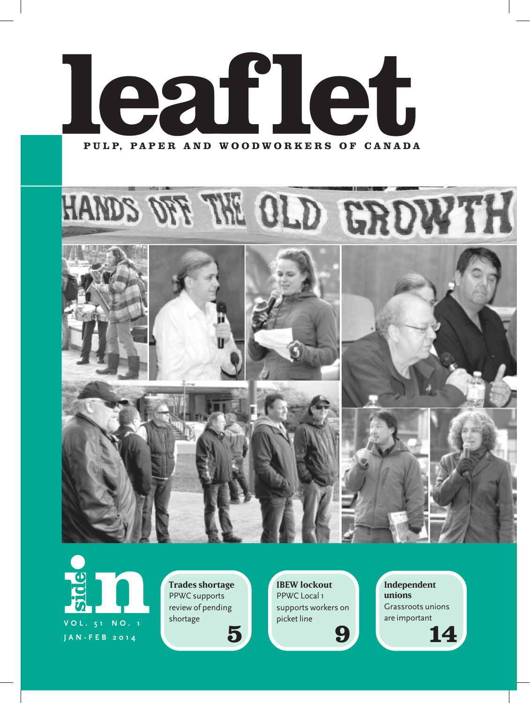

**in**<br> **in**<br> **v**ol. 51 No. 1 **V O L . 5 1 N O . 1 JAN-FEB 2014 side**

**Trades shortage** PPWC supports review of pending shortage

**IBEW lockout** PPWC Local 1 supports workers on picket line

**Independent unions** Grassroots unions are important

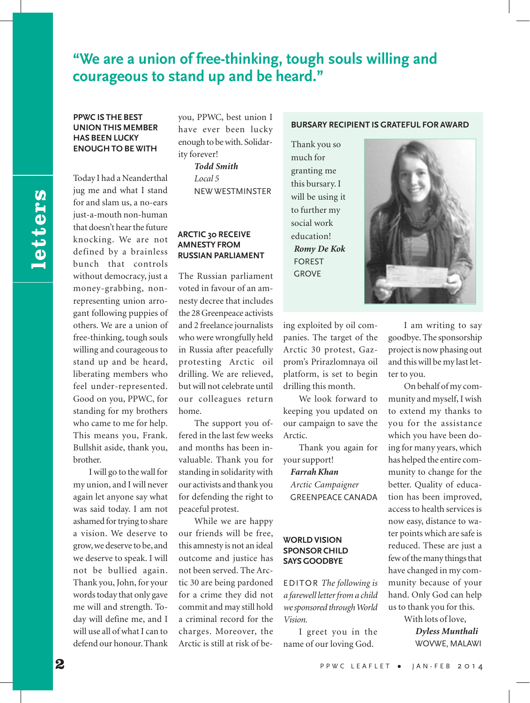## **"We are a union of free-thinking, tough souls willing and courageous to stand up and be heard."**

#### **PPWC IS THE BEST UNION THIS MEMBER HAS BEEN LUCKY ENOUGH TO BE WITH**

Today I had a Neanderthal jug me and what I stand for and slam us, a no-ears just-a-mouth non-human that doesn't hear the future knocking. We are not defined by a brainless bunch that controls without democracy, just a money-grabbing, nonrepresenting union arrogant following puppies of others. We are a union of free-thinking, tough souls willing and courageous to stand up and be heard, liberating members who feel under-represented. Good on you, PPWC, for standing for my brothers who came to me for help. This means you, Frank. Bullshit aside, thank you, brother.

I will go to the wall for my union, and I will never again let anyone say what was said today. I am not ashamed for trying to share a vision. We deserve to grow, we deserve to be, and we deserve to speak. I will not be bullied again. Thank you, John, for your words today that only gave me will and strength. Today will define me, and I will use all of what I can to defend our honour. Thank

you, PPWC, best union I have ever been lucky enough to be with. Solidarity forever! *Todd Smith*

> *Local 5* NEW WESTMINSTER

#### **ARCTIC 30 RECEIVE AMNESTY FROM RUSSIAN PARLIAMENT**

The Russian parliament voted in favour of an amnesty decree that includes the 28 Greenpeace activists and 2 freelance journalists who were wrongfully held in Russia after peacefully protesting Arctic oil drilling. We are relieved, but will not celebrate until our colleagues return home.

The support you offered in the last few weeks and months has been invaluable. Thank you for standing in solidarity with our activists and thank you for defending the right to peaceful protest.

While we are happy our friends will be free, this amnesty is not an ideal outcome and justice has not been served. The Arctic 30 are being pardoned for a crime they did not commit and may still hold a criminal record for the charges. Moreover, the Arctic is still at risk of be-

#### **BURSARY RECIPIENT IS GRATEFUL FOR AWARD**

Thank you so much for granting me this bursary. I will be using it to further my social work education! *Romy De Kok* FOREST GROVE



ing exploited by oil companies. The target of the Arctic 30 protest, Gazprom's Prirazlomnaya oil platform, is set to begin drilling this month.

We look forward to keeping you updated on our campaign to save the Arctic.

Thank you again for your support!

*Farrah Khan Arctic Campaigner* GREENPEACE CANADA

#### **WORLD VISION SPONSOR CHILD SAYS GOODBYE**

EDITOR *The following is a farewell letter from a child we sponsored through World Vision.*

I greet you in the name of our loving God.

I am writing to say goodbye. The sponsorship project is now phasing out and this will be my last letter to you.

On behalf of my community and myself, I wish to extend my thanks to you for the assistance which you have been doing for many years, which has helped the entire community to change for the better. Quality of education has been improved, access to health services is now easy, distance to water points which are safe is reduced. These are just a few of the many things that have changed in my community because of your hand. Only God can help us to thank you for this. With lots of love,

*Dyless Munthali* WOVWE, MALAWI

letters **letters**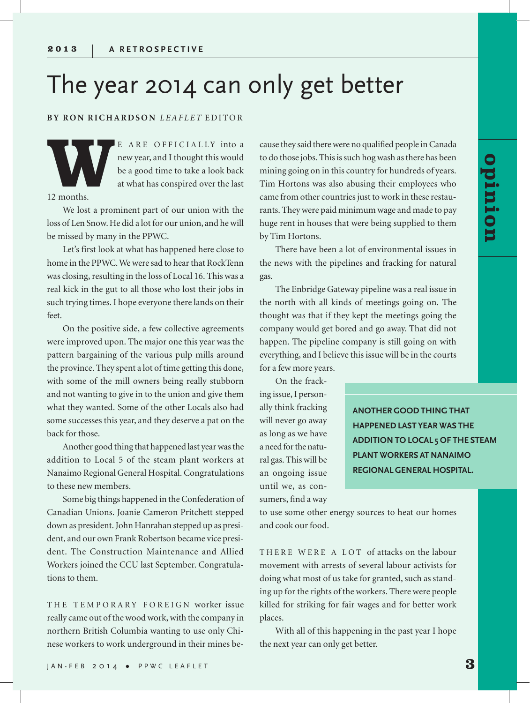# The year 2014 can only get better

#### **BY RON RICHARDSON** *LEAFLET* EDITOR

E ARE OFFICIALLY into a<br>new year, and I thought this would<br>be a good time to take a look back<br>at what has conspired over the last<br>12 months. new year, and I thought this would be a good time to take a look back at what has conspired over the last

12 months.

We lost a prominent part of our union with the loss of Len Snow. He did a lot for our union, and he will be missed by many in the PPWC.

Let's first look at what has happened here close to home in the PPWC. We were sad to hear that RockTenn was closing, resulting in the loss of Local 16. This was a real kick in the gut to all those who lost their jobs in such trying times. I hope everyone there lands on their feet.

On the positive side, a few collective agreements were improved upon. The major one this year was the pattern bargaining of the various pulp mills around the province. They spent a lot of time getting this done, with some of the mill owners being really stubborn and not wanting to give in to the union and give them what they wanted. Some of the other Locals also had some successes this year, and they deserve a pat on the back for those.

Another good thing that happened last year was the addition to Local 5 of the steam plant workers at Nanaimo Regional General Hospital. Congratulations to these new members.

Some big things happened in the Confederation of Canadian Unions. Joanie Cameron Pritchett stepped down as president. John Hanrahan stepped up as president, and our own Frank Robertson became vice president. The Construction Maintenance and Allied Workers joined the CCU last September. Congratulations to them.

THE TEMPORARY FOREIGN worker issue really came out of the wood work, with the company in northern British Columbia wanting to use only Chinese workers to work underground in their mines be-

cause they said there were no qualified people in Canada to do those jobs. This is such hog wash as there has been mining going on in this country for hundreds of years. Tim Hortons was also abusing their employees who came from other countries just to work in these restaurants. They were paid minimum wage and made to pay huge rent in houses that were being supplied to them by Tim Hortons.

There have been a lot of environmental issues in the news with the pipelines and fracking for natural gas.

The Enbridge Gateway pipeline was a real issue in the north with all kinds of meetings going on. The thought was that if they kept the meetings going the company would get bored and go away. That did not happen. The pipeline company is still going on with everything, and I believe this issue will be in the courts for a few more years.

On the fracking issue, I personally think fracking

will never go away as long as we have a need for the natural gas. This will be an ongoing issue until we, as consumers, find a way **ANOTHER GOOD THING THAT HAPPENED LAST YEAR WAS THE ADDITION TO LOCAL 5 OF THE STEAM PLANT WORKERS AT NANAIMO REGIONAL GENERAL HOSPITAL.**

to use some other energy sources to heat our homes and cook our food.

THERE WERE A LOT of attacks on the labour movement with arrests of several labour activists for doing what most of us take for granted, such as standing up for the rights of the workers. There were people killed for striking for fair wages and for better work places.

With all of this happening in the past year I hope the next year can only get better.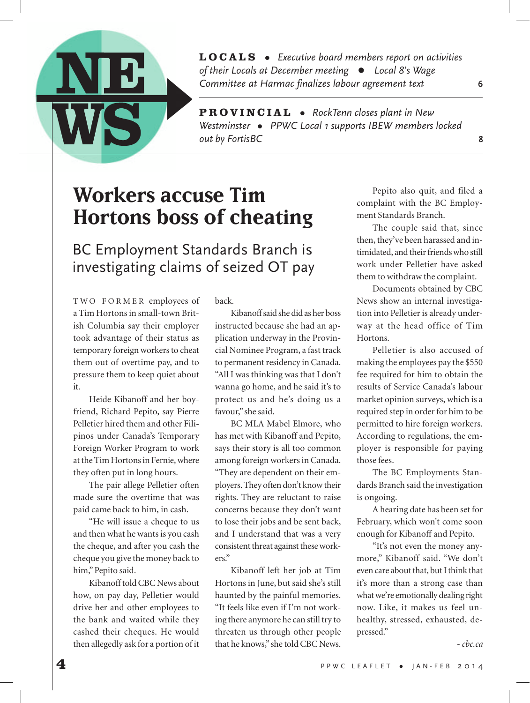

**LOCALS** *Executive board members report on activities of their Locals at December meetingLocal 8's Wage Committee at Harmac finalizes labour agreement text* **6**

**PROVINCIAL** • RockTenn closes plant in New Westminster • PPWC Local 1 supports IBEW members locked *out by FortisBC* **8**

# **Workers accuse Tim Hortons boss of cheating**

BC Employment Standards Branch is investigating claims of seized OT pay

TWO FORMER employees of a Tim Hortons in small-town British Columbia say their employer took advantage of their status as temporary foreign workers to cheat them out of overtime pay, and to pressure them to keep quiet about it.

Heide Kibanoff and her boyfriend, Richard Pepito, say Pierre Pelletier hired them and other Filipinos under Canada's Temporary Foreign Worker Program to work at the Tim Hortons in Fernie, where they often put in long hours.

The pair allege Pelletier often made sure the overtime that was paid came back to him, in cash.

"He will issue a cheque to us and then what he wants is you cash the cheque, and after you cash the cheque you give the money back to him," Pepito said.

Kibanoff told CBC News about how, on pay day, Pelletier would drive her and other employees to the bank and waited while they cashed their cheques. He would then allegedly ask for a portion of it

back.

Kibanoff said she did as her boss instructed because she had an application underway in the Provincial Nominee Program, a fast track to permanent residency in Canada. "All I was thinking was that I don't wanna go home, and he said it's to protect us and he's doing us a favour," she said.

BC MLA Mabel Elmore, who has met with Kibanoff and Pepito, says their story is all too common among foreign workers in Canada. "They are dependent on their employers. They often don't know their rights. They are reluctant to raise concerns because they don't want to lose their jobs and be sent back, and I understand that was a very consistent threat against these workers."

Kibanoff left her job at Tim Hortons in June, but said she's still haunted by the painful memories. "It feels like even if I'm not working there anymore he can still try to threaten us through other people that he knows," she told CBC News.

Pepito also quit, and filed a complaint with the BC Employment Standards Branch.

The couple said that, since then, they've been harassed and intimidated, and their friends who still work under Pelletier have asked them to withdraw the complaint.

Documents obtained by CBC News show an internal investigation into Pelletier is already underway at the head office of Tim Hortons.

Pelletier is also accused of making the employees pay the \$550 fee required for him to obtain the results of Service Canada's labour market opinion surveys, which is a required step in order for him to be permitted to hire foreign workers. According to regulations, the employer is responsible for paying those fees.

The BC Employments Standards Branch said the investigation is ongoing.

A hearing date has been set for February, which won't come soon enough for Kibanoff and Pepito.

"It's not even the money anymore," Kibanoff said. "We don't even care about that, but I think that it's more than a strong case than what we're emotionally dealing right now. Like, it makes us feel unhealthy, stressed, exhausted, depressed."

*- cbc.ca*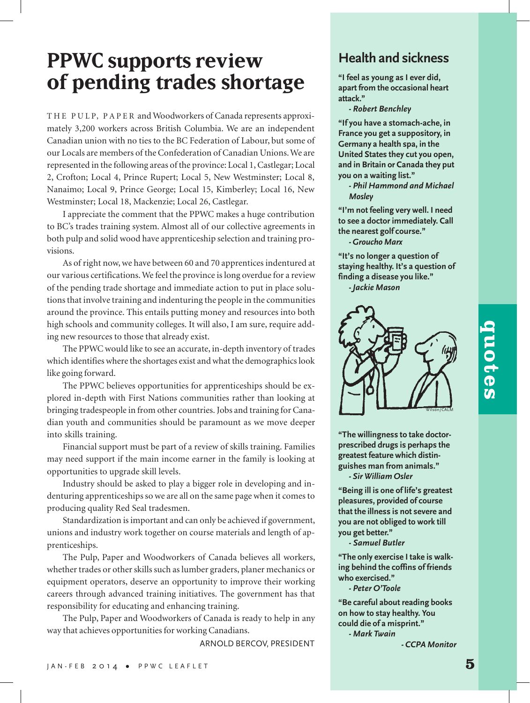# **PPWC supports review of pending trades shortage**

THE PULP, PAPER and Woodworkers of Canada represents approximately 3,200 workers across British Columbia. We are an independent Canadian union with no ties to the BC Federation of Labour, but some of our Locals are members of the Confederation of Canadian Unions. We are represented in the following areas of the province: Local 1, Castlegar; Local 2, Crofton; Local 4, Prince Rupert; Local 5, New Westminster; Local 8, Nanaimo; Local 9, Prince George; Local 15, Kimberley; Local 16, New Westminster; Local 18, Mackenzie; Local 26, Castlegar.

I appreciate the comment that the PPWC makes a huge contribution to BC's trades training system. Almost all of our collective agreements in both pulp and solid wood have apprenticeship selection and training provisions.

As of right now, we have between 60 and 70 apprentices indentured at our various certifications. We feel the province is long overdue for a review of the pending trade shortage and immediate action to put in place solutions that involve training and indenturing the people in the communities around the province. This entails putting money and resources into both high schools and community colleges. It will also, I am sure, require adding new resources to those that already exist.

The PPWC would like to see an accurate, in-depth inventory of trades which identifies where the shortages exist and what the demographics look like going forward.

The PPWC believes opportunities for apprenticeships should be explored in-depth with First Nations communities rather than looking at bringing tradespeople in from other countries. Jobs and training for Canadian youth and communities should be paramount as we move deeper into skills training.

Financial support must be part of a review of skills training. Families may need support if the main income earner in the family is looking at opportunities to upgrade skill levels.

Industry should be asked to play a bigger role in developing and indenturing apprenticeships so we are all on the same page when it comes to producing quality Red Seal tradesmen.

Standardization is important and can only be achieved if government, unions and industry work together on course materials and length of apprenticeships.

The Pulp, Paper and Woodworkers of Canada believes all workers, whether trades or other skills such as lumber graders, planer mechanics or equipment operators, deserve an opportunity to improve their working careers through advanced training initiatives. The government has that responsibility for educating and enhancing training.

The Pulp, Paper and Woodworkers of Canada is ready to help in any way that achieves opportunities for working Canadians.

ARNOLD BERCOV, PRESIDENT

#### **Health and sickness**

**"I feel as young as I ever did, apart from the occasional heart attack."**

*- Robert Benchley*

**"If you have a stomach-ache, in France you get a suppository, in Germany a health spa, in the United States they cut you open, and in Britain or Canada they put you on a waiting list."**

*- Phil Hammond and Michael Mosley*

**"I'm not feeling very well. I need to see a doctor immediately. Call the nearest golf course."** *- Groucho Marx*

**"It's no longer a question of staying healthy. It's a question of finding a disease you like."** *- Jackie Mason*



**"The willingness to take doctorprescribed drugs is perhaps the greatest feature which distinguishes man from animals."** *- Sir William Osler*

**"Being ill is one of life's greatest pleasures, provided of course that the illness is not severe and you are not obliged to work till you get better."**

*- Samuel Butler*

**"The only exercise I take is walking behind the coffins of friends who exercised."**

*- Peter O'Toole*

**"Be careful about reading books on how to stay healthy. You could die of a misprint."** *- Mark Twain*

*- CCPA Monitor*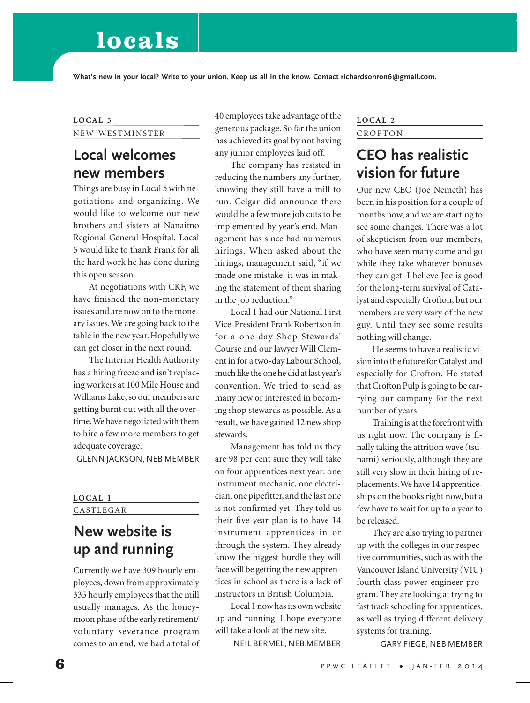# **locals**

**What's new in your local? Write to your union. Keep us all in the know. Contact richardsonron6@gmail.com.**

# NEW WESTMINSTER

## **Local welcomes new members**

Things are busy in Local 5 with negotiations and organizing. We would like to welcome our new brothers and sisters at Nanaimo Regional General Hospital. Local 5 would like to thank Frank for all the hard work he has done during this open season.

At negotiations with CKF, we have finished the non-monetary issues and are now on to the moneary issues. We are going back to the table in the new year. Hopefully we can get closer in the next round.

The Interior Health Authority has a hiring freeze and isn't replacing workers at 100 Mile House and Williams Lake, so our members are getting burnt out with all the overtime. We have negotiated with them to hire a few more members to get adequate coverage.

GLENN JACKSON, NEB MEMBER

#### **LOCAL 1** CASTLEGAR

## **New website is up and running**

Currently we have 309 hourly employees, down from approximately 335 hourly employees that the mill usually manages. As the honeymoon phase of the early retirement/ voluntary severance program comes to an end, we had a total of

**LOCAL 5** 40 employees take advantage of the generous package. So far the union has achieved its goal by not having any junior employees laid off.

> The company has resisted in reducing the numbers any further, knowing they still have a mill to run. Celgar did announce there would be a few more job cuts to be implemented by year's end. Management has since had numerous hirings. When asked about the hirings, management said, "if we made one mistake, it was in making the statement of them sharing in the job reduction."

> Local 1 had our National First Vice-President Frank Robertson in for a one-day Shop Stewards' Course and our lawyer Will Clement in for a two-day Labour School, much like the one he did at last year's convention. We tried to send as many new or interested in becoming shop stewards as possible. As a result, we have gained 12 new shop stewards.

> Management has told us they are 98 per cent sure they will take on four apprentices next year: one instrument mechanic, one electrician, one pipefitter, and the last one is not confirmed yet. They told us their five-year plan is to have 14 instrument apprentices in or through the system. They already know the biggest hurdle they will face will be getting the new apprentices in school as there is a lack of instructors in British Columbia.

> Local 1 now has its own website up and running. I hope everyone will take a look at the new site.

> > NEIL BERMEL, NEB MEMBER

#### **LOCAL 2** CROFTON

## **CEO has realistic vision for future**

Our new CEO (Joe Nemeth) has been in his position for a couple of months now, and we are starting to see some changes. There was a lot of skepticism from our members, who have seen many come and go while they take whatever bonuses they can get. I believe Joe is good for the long-term survival of Catalyst and especially Crofton, but our members are very wary of the new guy. Until they see some results nothing will change.

He seems to have a realistic vision into the future for Catalyst and especially for Crofton. He stated that Crofton Pulp is going to be carrying our company for the next number of years.

Training is at the forefront with us right now. The company is finally taking the attrition wave (tsunami) seriously, although they are still very slow in their hiring of replacements. We have 14 apprenticeships on the books right now, but a few have to wait for up to a year to be released.

They are also trying to partner up with the colleges in our respective communities, such as with the Vancouver Island University (VIU) fourth class power engineer program. They are looking at trying to fast track schooling for apprentices, as well as trying different delivery systems for training.

GARY FIEGE, NEB MEMBER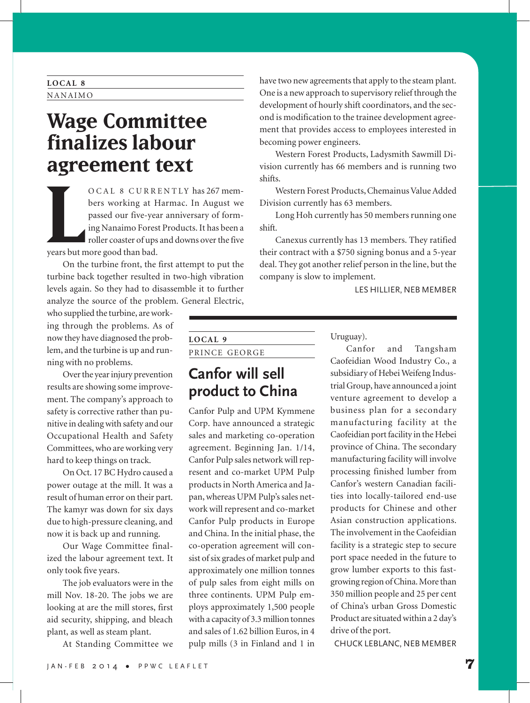#### **LOCAL 8** NANAIMO

# **Wage Committee finalizes labour agreement text**

**LETTICITE** OCAL 8 CURRENTLY has 267 members working at Harmac. In August we passed our five-year anniversary of forming Nanaimo Forest Products. It has been a roller coaster of ups and downs over the five

On the turbine front, the first attempt to put the turbine back together resulted in two-high vibration levels again. So they had to disassemble it to further analyze the source of the problem. General Electric,

who supplied the turbine, are working through the problems. As of now they have diagnosed the problem, and the turbine is up and running with no problems.

Over the year injury prevention results are showing some improvement. The company's approach to safety is corrective rather than punitive in dealing with safety and our Occupational Health and Safety Committees, who are working very hard to keep things on track.

On Oct. 17 BC Hydro caused a power outage at the mill. It was a result of human error on their part. The kamyr was down for six days due to high-pressure cleaning, and now it is back up and running.

Our Wage Committee finalized the labour agreement text. It only took five years.

The job evaluators were in the mill Nov. 18-20. The jobs we are looking at are the mill stores, first aid security, shipping, and bleach plant, as well as steam plant.

At Standing Committee we

have two new agreements that apply to the steam plant. One is a new approach to supervisory relief through the development of hourly shift coordinators, and the second is modification to the trainee development agreement that provides access to employees interested in becoming power engineers.

Western Forest Products, Ladysmith Sawmill Division currently has 66 members and is running two shifts.

Western Forest Products, Chemainus Value Added Division currently has 63 members.

Long Hoh currently has 50 members running one shift.

Canexus currently has 13 members. They ratified their contract with a \$750 signing bonus and a 5-year deal. They got another relief person in the line, but the company is slow to implement.

LES HILLIER, NEB MEMBER

| LOCAL <sub>9</sub> |  |
|--------------------|--|
| PRINCE GEORGE      |  |

## **Canfor will sell product to China**

Canfor Pulp and UPM Kymmene Corp. have announced a strategic sales and marketing co-operation agreement. Beginning Jan. 1/14, Canfor Pulp sales network will represent and co-market UPM Pulp products in North America and Japan, whereas UPM Pulp's sales network will represent and co-market Canfor Pulp products in Europe and China. In the initial phase, the co-operation agreement will consist of six grades of market pulp and approximately one million tonnes of pulp sales from eight mills on three continents. UPM Pulp employs approximately 1,500 people with a capacity of 3.3 million tonnes and sales of 1.62 billion Euros, in 4 pulp mills (3 in Finland and 1 in Uruguay).

Canfor and Tangsham Caofeidian Wood Industry Co., a subsidiary of Hebei Weifeng Industrial Group, have announced a joint venture agreement to develop a business plan for a secondary manufacturing facility at the Caofeidian port facility in the Hebei province of China. The secondary manufacturing facility will involve processing finished lumber from Canfor's western Canadian facilities into locally-tailored end-use products for Chinese and other Asian construction applications. The involvement in the Caofeidian facility is a strategic step to secure port space needed in the future to grow lumber exports to this fastgrowing region of China. More than 350 million people and 25 per cent of China's urban Gross Domestic Product are situated within a 2 day's drive of the port.

CHUCK LEBLANC, NEB MEMBER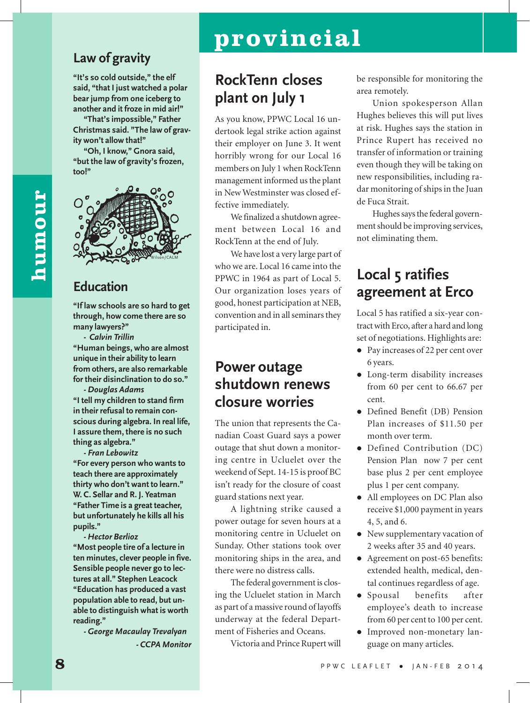#### **Law of gravity**

**"It's so cold outside," the elf said, "that I just watched a polar bear jump from one iceberg to another and it froze in mid air!"**

**"That's impossible," Father Christmas said. "The law of gravity won't allow that!"**

**"Oh, I know," Gnora said, "but the law of gravity's frozen, too!"**



## **Education**

**"If law schools are so hard to get through, how come there are so many lawyers?"**

**-** *Calvin Trillin* **"Human beings, who are almost unique in their ability to learn from others, are also remarkable for their disinclination to do so."**

*- Douglas Adams* **"I tell my children to stand firm in their refusal to remain conscious during algebra. In real life, I assure them, there is no such thing as algebra."**

*- Fran Lebowitz* **"For every person who wants to teach there are approximately thirty who don't want to learn." W. C. Sellar and R. J. Yeatman "Father Time is a great teacher, but unfortunately he kills all his pupils."**

*- Hector Berlioz* **"Most people tire of a lecture in ten minutes, clever people in five. Sensible people never go to lectures at all." Stephen Leacock "Education has produced a vast population able to read, but unable to distinguish what is worth reading."**

*- George Macaulay Trevalyan - CCPA Monitor*

# **provincial**

## **RockTenn closes plant on July 1**

As you know, PPWC Local 16 undertook legal strike action against their employer on June 3. It went horribly wrong for our Local 16 members on July 1 when RockTenn management informed us the plant in New Westminster was closed effective immediately.

We finalized a shutdown agreement between Local 16 and RockTenn at the end of July.

We have lost a very large part of who we are. Local 16 came into the PPWC in 1964 as part of Local 5. Our organization loses years of good, honest participation at NEB, convention and in all seminars they participated in.

## **Power outage shutdown renews closure worries**

The union that represents the Canadian Coast Guard says a power outage that shut down a monitoring centre in Ucluelet over the weekend of Sept. 14-15 is proof BC isn't ready for the closure of coast guard stations next year.

A lightning strike caused a power outage for seven hours at a monitoring centre in Ucluelet on Sunday. Other stations took over monitoring ships in the area, and there were no distress calls.

The federal government is closing the Ucluelet station in March as part of a massive round of layoffs underway at the federal Department of Fisheries and Oceans.

Victoria and Prince Rupert will

be responsible for monitoring the area remotely.

Union spokesperson Allan Hughes believes this will put lives at risk. Hughes says the station in Prince Rupert has received no transfer of information or training even though they will be taking on new responsibilities, including radar monitoring of ships in the Juan de Fuca Strait.

Hughes says the federal government should be improving services, not eliminating them.

## **Local 5 ratifies agreement at Erco**

Local 5 has ratified a six-year contract with Erco, after a hard and long set of negotiations. Highlights are:

- Pay increases of 22 per cent over 6 years.
- Long-term disability increases from 60 per cent to 66.67 per cent.
- Defined Benefit (DB) Pension Plan increases of \$11.50 per month over term.
- Defined Contribution (DC) Pension Plan now 7 per cent base plus 2 per cent employee plus 1 per cent company.
- All employees on DC Plan also receive \$1,000 payment in years 4, 5, and 6.
- New supplementary vacation of 2 weeks after 35 and 40 years.
- Agreement on post-65 benefits: extended health, medical, dental continues regardless of age.
- Spousal benefits after employee's death to increase from 60 per cent to 100 per cent.
- Improved non-monetary language on many articles.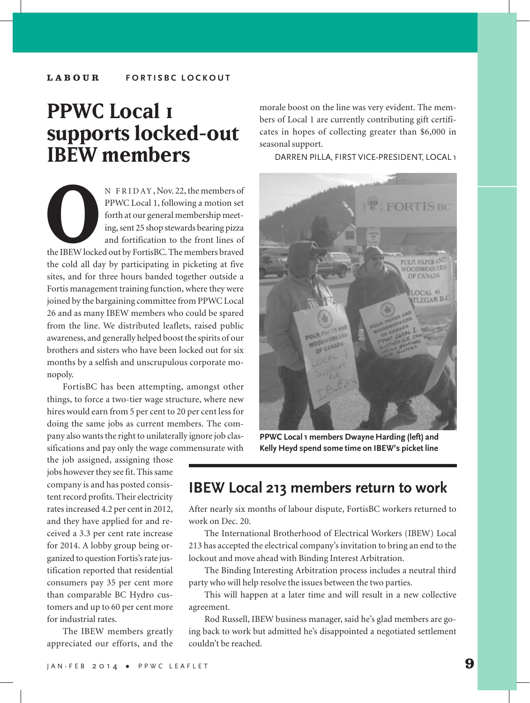#### **LABOUR FORTISBC LOCKOUT**

# **PPWC Local 1 supports locked-out IBEW members**

N FRIDAY, Nov. 22, the members of<br>PPWC Local 1, following a motion set<br>forth at our general membership meet-<br>ing, sent 25 shop stewards bearing pizza<br>and fortification to the front lines of<br>the IBEW locked out by FortisBC. PPWC Local 1, following a motion set forth at our general membership meeting, sent 25 shop stewards bearing pizza and fortification to the front lines of the IBEW locked out by FortisBC. The members braved the cold all day by participating in picketing at five sites, and for three hours banded together outside a Fortis management training function, where they were joined by the bargaining committee from PPWC Local 26 and as many IBEW members who could be spared from the line. We distributed leaflets, raised public awareness, and generally helped boost the spirits of our brothers and sisters who have been locked out for six months by a selfish and unscrupulous corporate monopoly.

FortisBC has been attempting, amongst other things, to force a two-tier wage structure, where new hires would earn from 5 per cent to 20 per cent less for doing the same jobs as current members. The company also wants the right to unilaterally ignore job classifications and pay only the wage commensurate with

the job assigned, assigning those jobs however they see fit. This same company is and has posted consistent record profits. Their electricity rates increased 4.2 per cent in 2012, and they have applied for and received a 3.3 per cent rate increase for 2014. A lobby group being organized to question Fortis's rate justification reported that residential consumers pay 35 per cent more than comparable BC Hydro customers and up to 60 per cent more for industrial rates.

The IBEW members greatly appreciated our efforts, and the

morale boost on the line was very evident. The members of Local 1 are currently contributing gift certificates in hopes of collecting greater than \$6,000 in seasonal support.

DARREN PILLA, FIRST VICE-PRESIDENT, LOCAL 1



**PPWC Local 1 members Dwayne Harding (left) and Kelly Heyd spend some time on IBEW's picket line**

#### **IBEW Local 213 members return to work**

After nearly six months of labour dispute, FortisBC workers returned to work on Dec. 20.

The International Brotherhood of Electrical Workers (IBEW) Local 213 has accepted the electrical company's invitation to bring an end to the lockout and move ahead with Binding Interest Arbitration.

The Binding Interesting Arbitration process includes a neutral third party who will help resolve the issues between the two parties.

This will happen at a later time and will result in a new collective agreement.

Rod Russell, IBEW business manager, said he's glad members are going back to work but admitted he's disappointed a negotiated settlement couldn't be reached.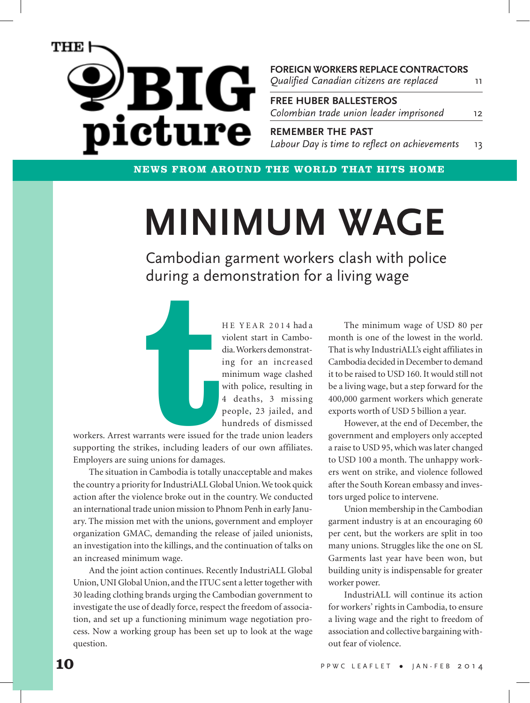

**FOREIGN WORKERS REPLACE CONTRACTORS FREE HUBER BALLESTEROS** 11 12 *Colombian trade union leader imprisoned Qualified Canadian citizens are replaced*

**REMEMBER THE PAST** 13 *Labour Day is time to reflect on achievements*

**NEWS FROM AROUND THE WORLD THAT HITS HOME**

# **MINIMUM WAGE**

Cambodian garment workers clash with police during a demonstration for a living wage



HE YEAR 2014 had a violent start in Cambodia. Workers demonstrating for an increased minimum wage clashed with police, resulting in 4 deaths, 3 missing people, 23 jailed, and hundreds of dismissed

workers. Arrest warrants were issued for the trade union leaders supporting the strikes, including leaders of our own affiliates. Employers are suing unions for damages.

The situation in Cambodia is totally unacceptable and makes the country a priority for IndustriALL Global Union. We took quick action after the violence broke out in the country. We conducted an international trade union mission to Phnom Penh in early January. The mission met with the unions, government and employer organization GMAC, demanding the release of jailed unionists, an investigation into the killings, and the continuation of talks on an increased minimum wage.

And the joint action continues. Recently IndustriALL Global Union, UNI Global Union, and the ITUC sent a letter together with 30 leading clothing brands urging the Cambodian government to investigate the use of deadly force, respect the freedom of association, and set up a functioning minimum wage negotiation process. Now a working group has been set up to look at the wage question.

The minimum wage of USD 80 per month is one of the lowest in the world. That is why IndustriALL's eight affiliates in Cambodia decided in December to demand it to be raised to USD 160. It would still not be a living wage, but a step forward for the 400,000 garment workers which generate exports worth of USD 5 billion a year.

However, at the end of December, the government and employers only accepted a raise to USD 95, which was later changed to USD 100 a month. The unhappy workers went on strike, and violence followed after the South Korean embassy and investors urged police to intervene.

Union membership in the Cambodian garment industry is at an encouraging 60 per cent, but the workers are split in too many unions. Struggles like the one on SL Garments last year have been won, but building unity is indispensable for greater worker power.

IndustriALL will continue its action for workers' rights in Cambodia, to ensure a living wage and the right to freedom of association and collective bargaining without fear of violence.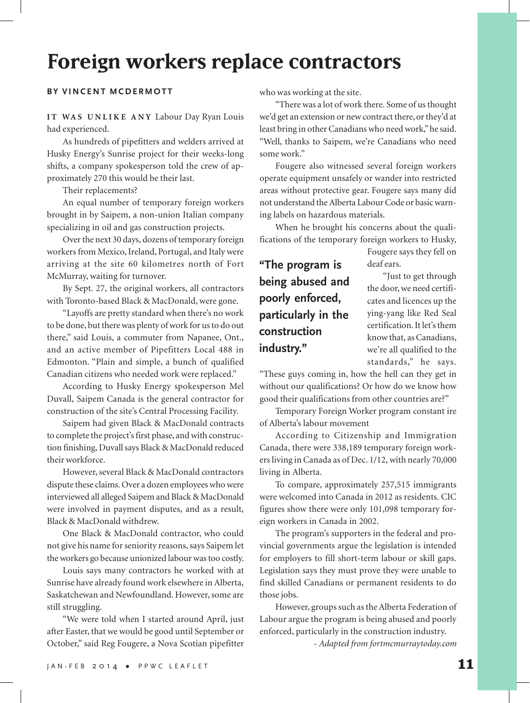# **Foreign workers replace contractors**

#### **BY VINCENT MCDERMOTT**

IT WAS UNLIKE ANY Labour Day Ryan Louis had experienced.

As hundreds of pipefitters and welders arrived at Husky Energy's Sunrise project for their weeks-long shifts, a company spokesperson told the crew of approximately 270 this would be their last.

Their replacements?

An equal number of temporary foreign workers brought in by Saipem, a non-union Italian company specializing in oil and gas construction projects.

Over the next 30 days, dozens of temporary foreign workers from Mexico, Ireland, Portugal, and Italy were arriving at the site 60 kilometres north of Fort McMurray, waiting for turnover.

By Sept. 27, the original workers, all contractors with Toronto-based Black & MacDonald, were gone.

"Layoffs are pretty standard when there's no work to be done, but there was plenty of work for us to do out there," said Louis, a commuter from Napanee, Ont., and an active member of Pipefitters Local 488 in Edmonton. "Plain and simple, a bunch of qualified Canadian citizens who needed work were replaced."

According to Husky Energy spokesperson Mel Duvall, Saipem Canada is the general contractor for construction of the site's Central Processing Facility.

Saipem had given Black & MacDonald contracts to complete the project's first phase, and with construction finishing, Duvall says Black & MacDonald reduced their workforce.

However, several Black & MacDonald contractors dispute these claims. Over a dozen employees who were interviewed all alleged Saipem and Black & MacDonald were involved in payment disputes, and as a result, Black & MacDonald withdrew.

One Black & MacDonald contractor, who could not give his name for seniority reasons, says Saipem let the workers go because unionized labour was too costly.

Louis says many contractors he worked with at Sunrise have already found work elsewhere in Alberta, Saskatchewan and Newfoundland. However, some are still struggling.

"We were told when I started around April, just after Easter, that we would be good until September or October," said Reg Fougere, a Nova Scotian pipefitter who was working at the site.

"There was a lot of work there. Some of us thought we'd get an extension or new contract there, or they'd at least bring in other Canadians who need work," he said. "Well, thanks to Saipem, we're Canadians who need some work."

Fougere also witnessed several foreign workers operate equipment unsafely or wander into restricted areas without protective gear. Fougere says many did not understand the Alberta Labour Code or basic warning labels on hazardous materials.

When he brought his concerns about the qualifications of the temporary foreign workers to Husky,

**"The program is being abused and poorly enforced, particularly in the construction industry."**

Fougere says they fell on deaf ears.

"Just to get through the door, we need certificates and licences up the ying-yang like Red Seal certification. It let's them know that, as Canadians, we're all qualified to the standards," he says.

"These guys coming in, how the hell can they get in without our qualifications? Or how do we know how good their qualifications from other countries are?"

Temporary Foreign Worker program constant ire of Alberta's labour movement

According to Citizenship and Immigration Canada, there were 338,189 temporary foreign workers living in Canada as of Dec. 1/12, with nearly 70,000 living in Alberta.

To compare, approximately 257,515 immigrants were welcomed into Canada in 2012 as residents. CIC figures show there were only 101,098 temporary foreign workers in Canada in 2002.

The program's supporters in the federal and provincial governments argue the legislation is intended for employers to fill short-term labour or skill gaps. Legislation says they must prove they were unable to find skilled Canadians or permanent residents to do those jobs.

However, groups such as the Alberta Federation of Labour argue the program is being abused and poorly enforced, particularly in the construction industry.

*- Adapted from fortmcmurraytoday.com*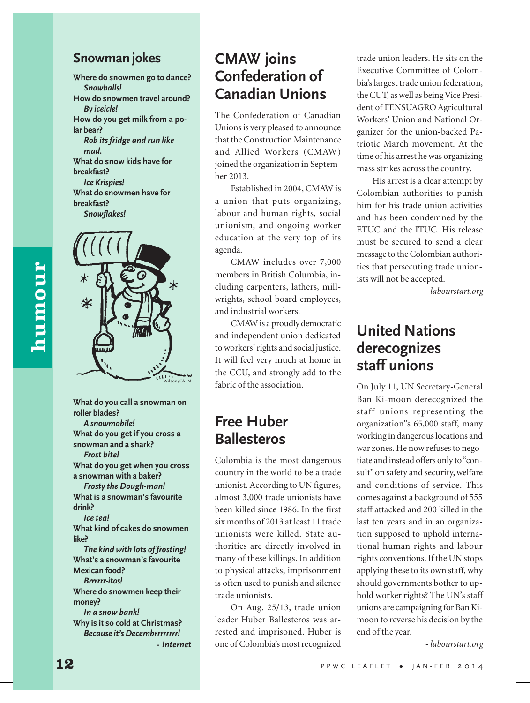#### **Snowman jokes**

**Where do snowmen go to dance?** *Snowballs!* **How do snowmen travel around?** *By iceicle!* **How do you get milk from a polar bear?** *Rob its fridge and run like mad.* **What do snow kids have for breakfast?** *Ice Krispies!* **What do snowmen have for breakfast?**

*Snowflakes!*



**What do you call a snowman on roller blades?** *A snowmobile!* **What do you get if you cross a snowman and a shark?** *Frost bite!* **What do you get when you cross a snowman with a baker?** *Frosty the Dough-man!* **What is a snowman's favourite drink?** *Ice tea!* **What kind of cakes do snowmen like?** *The kind with lots of frosting!* **What's a snowman's favourite Mexican food?** *Brrrrrr-itos!* **Where do snowmen keep their money?** *In a snow bank!* **Why is it so cold at Christmas?** *Because it's Decembrrrrrrrr! - Internet*

## **CMAW joins Confederation of Canadian Unions**

The Confederation of Canadian Unions is very pleased to announce that the Construction Maintenance and Allied Workers (CMAW) joined the organization in September 2013.

Established in 2004, CMAW is a union that puts organizing, labour and human rights, social unionism, and ongoing worker education at the very top of its agenda.

CMAW includes over 7,000 members in British Columbia, including carpenters, lathers, millwrights, school board employees, and industrial workers.

CMAW is a proudly democratic and independent union dedicated to workers' rights and social justice. It will feel very much at home in the CCU, and strongly add to the fabric of the association.

## **Free Huber Ballesteros**

Colombia is the most dangerous country in the world to be a trade unionist. According to UN figures, almost 3,000 trade unionists have been killed since 1986. In the first six months of 2013 at least 11 trade unionists were killed. State authorities are directly involved in many of these killings. In addition to physical attacks, imprisonment is often used to punish and silence trade unionists.

On Aug. 25/13, trade union leader Huber Ballesteros was arrested and imprisoned. Huber is one of Colombia's most recognized

trade union leaders. He sits on the Executive Committee of Colombia's largest trade union federation, the CUT, as well as being Vice President of FENSUAGRO Agricultural Workers' Union and National Organizer for the union-backed Patriotic March movement. At the time of his arrest he was organizing mass strikes across the country.

His arrest is a clear attempt by Colombian authorities to punish him for his trade union activities and has been condemned by the ETUC and the ITUC. His release must be secured to send a clear message to the Colombian authorities that persecuting trade unionists will not be accepted.

*- labourstart.org*

## **United Nations derecognizes staff unions**

On July 11, UN Secretary-General Ban Ki-moon derecognized the staff unions representing the organization''s 65,000 staff, many working in dangerous locations and war zones. He now refuses to negotiate and instead offers only to "consult" on safety and security, welfare and conditions of service. This comes against a background of 555 staff attacked and 200 killed in the last ten years and in an organization supposed to uphold international human rights and labour rights conventions. If the UN stops applying these to its own staff, why should governments bother to uphold worker rights? The UN's staff unions are campaigning for Ban Kimoon to reverse his decision by the end of the year.

*- labourstart.org*

aumour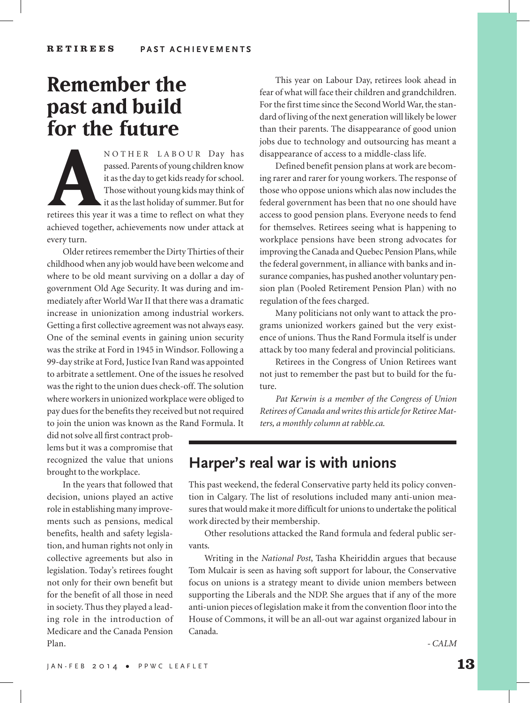# **Remember the past and build for the future**

**A** NOTHER LABOUR Day has<br>
passed. Parents of young children know<br>
it as the day to get kids ready for school.<br>
Those without young kids may think of<br>
it as the last holiday of summer. But for<br>
etirees this year it was a t passed. Parents of young children know it as the day to get kids ready for school. Those without young kids may think of it as the last holiday of summer. But for retirees this year it was a time to reflect on what they achieved together, achievements now under attack at every turn.

Older retirees remember the Dirty Thirties of their childhood when any job would have been welcome and where to be old meant surviving on a dollar a day of government Old Age Security. It was during and immediately after World War II that there was a dramatic increase in unionization among industrial workers. Getting a first collective agreement was not always easy. One of the seminal events in gaining union security was the strike at Ford in 1945 in Windsor. Following a 99-day strike at Ford, Justice Ivan Rand was appointed to arbitrate a settlement. One of the issues he resolved was the right to the union dues check-off. The solution where workers in unionized workplace were obliged to pay dues for the benefits they received but not required to join the union was known as the Rand Formula. It

did not solve all first contract problems but it was a compromise that recognized the value that unions brought to the workplace.

In the years that followed that decision, unions played an active role in establishing many improvements such as pensions, medical benefits, health and safety legislation, and human rights not only in collective agreements but also in legislation. Today's retirees fought not only for their own benefit but for the benefit of all those in need in society. Thus they played a leading role in the introduction of Medicare and the Canada Pension Plan.

This year on Labour Day, retirees look ahead in fear of what will face their children and grandchildren. For the first time since the Second World War, the standard of living of the next generation will likely be lower than their parents. The disappearance of good union jobs due to technology and outsourcing has meant a disappearance of access to a middle-class life.

Defined benefit pension plans at work are becoming rarer and rarer for young workers. The response of those who oppose unions which alas now includes the federal government has been that no one should have access to good pension plans. Everyone needs to fend for themselves. Retirees seeing what is happening to workplace pensions have been strong advocates for improving the Canada and Quebec Pension Plans, while the federal government, in alliance with banks and insurance companies, has pushed another voluntary pension plan (Pooled Retirement Pension Plan) with no regulation of the fees charged.

Many politicians not only want to attack the programs unionized workers gained but the very existence of unions. Thus the Rand Formula itself is under attack by too many federal and provincial politicians.

Retirees in the Congress of Union Retirees want not just to remember the past but to build for the future.

*Pat Kerwin is a member of the Congress of Union Retirees of Canada and writes this article for Retiree Matters, a monthly column at rabble.ca.*

#### **Harper's real war is with unions**

This past weekend, the federal Conservative party held its policy convention in Calgary. The list of resolutions included many anti-union measures that would make it more difficult for unions to undertake the political work directed by their membership.

Other resolutions attacked the Rand formula and federal public servants.

Writing in the *National Post*, Tasha Kheiriddin argues that because Tom Mulcair is seen as having soft support for labour, the Conservative focus on unions is a strategy meant to divide union members between supporting the Liberals and the NDP. She argues that if any of the more anti-union pieces of legislation make it from the convention floor into the House of Commons, it will be an all-out war against organized labour in Canada.

*- CALM*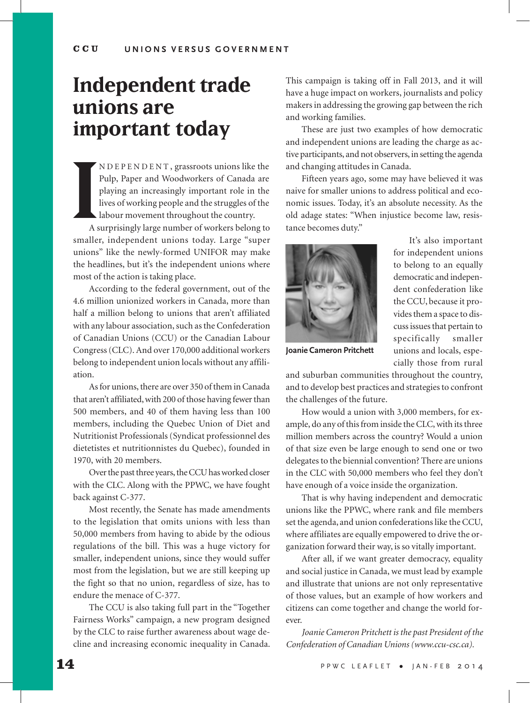# **Independent trade unions are important today**

**I**<br>As NDEPENDENT , grassroots unions like the Pulp, Paper and Woodworkers of Canada are playing an increasingly important role in the lives of working people and the struggles of the labour movement throughout the country.

A surprisingly large number of workers belong to smaller, independent unions today. Large "super unions" like the newly-formed UNIFOR may make the headlines, but it's the independent unions where most of the action is taking place.

According to the federal government, out of the 4.6 million unionized workers in Canada, more than half a million belong to unions that aren't affiliated with any labour association, such as the Confederation of Canadian Unions (CCU) or the Canadian Labour Congress (CLC). And over 170,000 additional workers belong to independent union locals without any affiliation.

As for unions, there are over 350 of them in Canada that aren't affiliated, with 200 of those having fewer than 500 members, and 40 of them having less than 100 members, including the Quebec Union of Diet and Nutritionist Professionals (Syndicat professionnel des dietetistes et nutritionnistes du Quebec), founded in 1970, with 20 members.

Over the past three years, the CCU has worked closer with the CLC. Along with the PPWC, we have fought back against C-377.

Most recently, the Senate has made amendments to the legislation that omits unions with less than 50,000 members from having to abide by the odious regulations of the bill. This was a huge victory for smaller, independent unions, since they would suffer most from the legislation, but we are still keeping up the fight so that no union, regardless of size, has to endure the menace of C-377.

The CCU is also taking full part in the "Together Fairness Works" campaign, a new program designed by the CLC to raise further awareness about wage decline and increasing economic inequality in Canada.

This campaign is taking off in Fall 2013, and it will have a huge impact on workers, journalists and policy makers in addressing the growing gap between the rich and working families.

These are just two examples of how democratic and independent unions are leading the charge as active participants, and not observers, in setting the agenda and changing attitudes in Canada.

Fifteen years ago, some may have believed it was naive for smaller unions to address political and economic issues. Today, it's an absolute necessity. As the old adage states: "When injustice become law, resistance becomes duty."



democratic and independent confederation like the CCU, because it provides them a space to discuss issues that pertain to specifically smaller unions and locals, especially those from rural

It's also important for independent unions to belong to an equally

**Joanie Cameron Pritchett**

and suburban communities throughout the country, and to develop best practices and strategies to confront the challenges of the future.

How would a union with 3,000 members, for example, do any of this from inside the CLC, with its three million members across the country? Would a union of that size even be large enough to send one or two delegates to the biennial convention? There are unions in the CLC with 50,000 members who feel they don't have enough of a voice inside the organization.

That is why having independent and democratic unions like the PPWC, where rank and file members set the agenda, and union confederations like the CCU, where affiliates are equally empowered to drive the organization forward their way, is so vitally important.

After all, if we want greater democracy, equality and social justice in Canada, we must lead by example and illustrate that unions are not only representative of those values, but an example of how workers and citizens can come together and change the world forever.

*Joanie Cameron Pritchett is the past President of the Confederation of Canadian Unions (www.ccu-csc.ca).*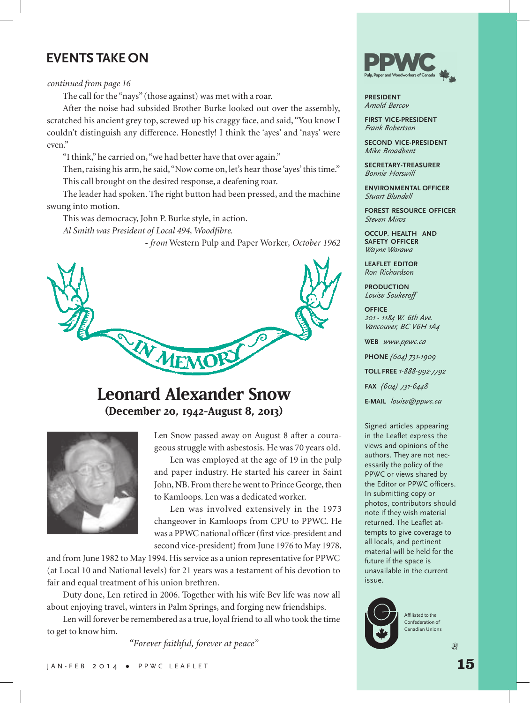#### **EVENTS TAKE ON**

#### *continued from page 16*

The call for the "nays" (those against) was met with a roar.

After the noise had subsided Brother Burke looked out over the assembly, scratched his ancient grey top, screwed up his craggy face, and said, "You know I couldn't distinguish any difference. Honestly! I think the 'ayes' and 'nays' were even."

"I think," he carried on, "we had better have that over again."

Then, raising his arm, he said, "Now come on, let's hear those 'ayes' this time."

This call brought on the desired response, a deafening roar.

The leader had spoken. The right button had been pressed, and the machine swung into motion.

This was democracy, John P. Burke style, in action.

*Al Smith was President of Local 494, Woodfibre.*

*- from* Western Pulp and Paper Worker*, October 1962*



### **Leonard Alexander Snow (December 20, 1942-August 8, 2013)**



Len Snow passed away on August 8 after a courageous struggle with asbestosis. He was 70 years old.

Len was employed at the age of 19 in the pulp and paper industry. He started his career in Saint John, NB. From there he went to Prince George, then to Kamloops. Len was a dedicated worker.

Len was involved extensively in the 1973 changeover in Kamloops from CPU to PPWC. He was a PPWC national officer (first vice-president and second vice-president) from June 1976 to May 1978,

and from June 1982 to May 1994. His service as a union representative for PPWC (at Local 10 and National levels) for 21 years was a testament of his devotion to fair and equal treatment of his union brethren.

Duty done, Len retired in 2006. Together with his wife Bev life was now all about enjoying travel, winters in Palm Springs, and forging new friendships.

Len will forever be remembered as a true, loyal friend to all who took the time to get to know him.

*"Forever faithful, forever at peace"*



**PRESIDENT** *Arnold Bercov*

**FIRST VICE-PRESIDENT** *Frank Robertson*

**SECOND VICE-PRESIDENT** *Mike Broadbent*

**SECRETARY-TREASURER** *Bonnie Horswill*

**ENVIRONMENTAL OFFICER** *Stuart Blundell*

**FOREST RESOURCE OFFICER** *Steven Miros*

**OCCUP. HEALTH AND SAFETY OFFICER** *Wayne Warawa*

**LEAFLET EDITOR** *Ron Richardson*

**PRODUCTION** *Louise Soukeroff*

**OFFICE** *201 - 1184 W. 6th Ave. Vancouver, BC V6H 1A4*

**WEB** *www.ppwc.ca*

**PHONE** *(604) 731-1909*

**TOLL FREE** *1-888-992-7792*

**FAX** *(604) 731-6448*

**E-MAIL** *louise@ppwc.ca*

Signed articles appearing in the Leaflet express the views and opinions of the authors. They are not necessarily the policy of the PPWC or views shared by the Editor or PPWC officers. In submitting copy or photos, contributors should note if they wish material returned. The Leaflet attempts to give coverage to all locals, and pertinent material will be held for the future if the space is unavailable in the current issue.



Affiliated to the Confederation of Canadian Unions

 $\omega$